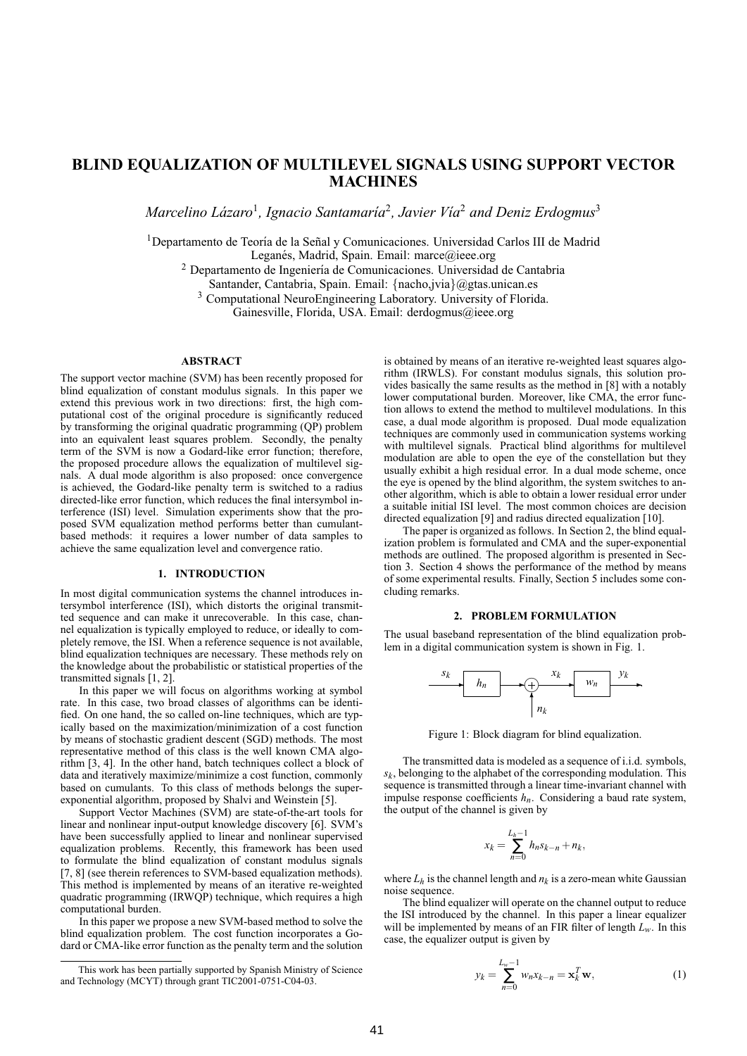# **BLIND EQUALIZATION OF MULTILEVEL SIGNALS USING SUPPORT VECTOR MACHINES**

*Marcelino Lázaro<sup>1</sup>*, *Ignacio Santamaría<sup>2</sup>*, *Javier Vía*<sup>2</sup> *and Deniz Erdogmus*<sup>3</sup>

<sup>1</sup>Departamento de Teoría de la Señal y Comunicaciones. Universidad Carlos III de Madrid

Leganés, Madrid, Spain. Email: marce@ieee.org

<sup>2</sup> Departamento de Ingeniería de Comunicaciones. Universidad de Cantabria

Santander, Cantabria, Spain. Email: {nacho,jvia}@gtas.unican.es

<sup>3</sup> Computational NeuroEngineering Laboratory. University of Florida.

Gainesville, Florida, USA. Email: derdogmus@ieee.org

#### **ABSTRACT**

The support vector machine (SVM) has been recently proposed for blind equalization of constant modulus signals. In this paper we extend this previous work in two directions: first, the high computational cost of the original procedure is significantly reduced by transforming the original quadratic programming (QP) problem into an equivalent least squares problem. Secondly, the penalty term of the SVM is now a Godard-like error function; therefore, the proposed procedure allows the equalization of multilevel signals. A dual mode algorithm is also proposed: once convergence is achieved, the Godard-like penalty term is switched to a radius directed-like error function, which reduces the final intersymbol interference (ISI) level. Simulation experiments show that the proposed SVM equalization method performs better than cumulantbased methods: it requires a lower number of data samples to achieve the same equalization level and convergence ratio.

### **1. INTRODUCTION**

In most digital communication systems the channel introduces intersymbol interference (ISI), which distorts the original transmitted sequence and can make it unrecoverable. In this case, channel equalization is typically employed to reduce, or ideally to completely remove, the ISI. When a reference sequence is not available, blind equalization techniques are necessary. These methods rely on the knowledge about the probabilistic or statistical properties of the transmitted signals [1, 2].

In this paper we will focus on algorithms working at symbol rate. In this case, two broad classes of algorithms can be identified. On one hand, the so called on-line techniques, which are typically based on the maximization/minimization of a cost function by means of stochastic gradient descent (SGD) methods. The most representative method of this class is the well known CMA algorithm [3, 4]. In the other hand, batch techniques collect a block of data and iteratively maximize/minimize a cost function, commonly based on cumulants. To this class of methods belongs the superexponential algorithm, proposed by Shalvi and Weinstein [5].

Support Vector Machines (SVM) are state-of-the-art tools for linear and nonlinear input-output knowledge discovery [6]. SVM's have been successfully applied to linear and nonlinear supervised equalization problems. Recently, this framework has been used to formulate the blind equalization of constant modulus signals [7, 8] (see therein references to SVM-based equalization methods). This method is implemented by means of an iterative re-weighted quadratic programming (IRWQP) technique, which requires a high computational burden.

In this paper we propose a new SVM-based method to solve the blind equalization problem. The cost function incorporates a Godard or CMA-like error function as the penalty term and the solution is obtained by means of an iterative re-weighted least squares algorithm (IRWLS). For constant modulus signals, this solution provides basically the same results as the method in [8] with a notably lower computational burden. Moreover, like CMA, the error function allows to extend the method to multilevel modulations. In this case, a dual mode algorithm is proposed. Dual mode equalization techniques are commonly used in communication systems working with multilevel signals. Practical blind algorithms for multilevel modulation are able to open the eye of the constellation but they usually exhibit a high residual error. In a dual mode scheme, once the eye is opened by the blind algorithm, the system switches to another algorithm, which is able to obtain a lower residual error under a suitable initial ISI level. The most common choices are decision directed equalization [9] and radius directed equalization [10].

The paper is organized as follows. In Section 2, the blind equalization problem is formulated and CMA and the super-exponential methods are outlined. The proposed algorithm is presented in Section 3. Section 4 shows the performance of the method by means of some experimental results. Finally, Section 5 includes some concluding remarks.

#### **2. PROBLEM FORMULATION**

The usual baseband representation of the blind equalization problem in a digital communication system is shown in Fig. 1.



Figure 1: Block diagram for blind equalization.

The transmitted data is modeled as a sequence of i.i.d. symbols,  $s_k$ , belonging to the alphabet of the corresponding modulation. This sequence is transmitted through a linear time-invariant channel with impulse response coefficients *hn*. Considering a baud rate system, the output of the channel is given by

$$
x_k = \sum_{n=0}^{L_h - 1} h_n s_{k-n} + n_k,
$$

where  $L_h$  is the channel length and  $n_k$  is a zero-mean white Gaussian noise sequence.

The blind equalizer will operate on the channel output to reduce the ISI introduced by the channel. In this paper a linear equalizer will be implemented by means of an FIR filter of length  $L_w$ . In this case, the equalizer output is given by

$$
y_k = \sum_{n=0}^{L_w - 1} w_n x_{k-n} = \mathbf{x}_k^T \mathbf{w},
$$
 (1)

This work has been partially supported by Spanish Ministry of Science and Technology (MCYT) through grant TIC2001-0751-C04-03.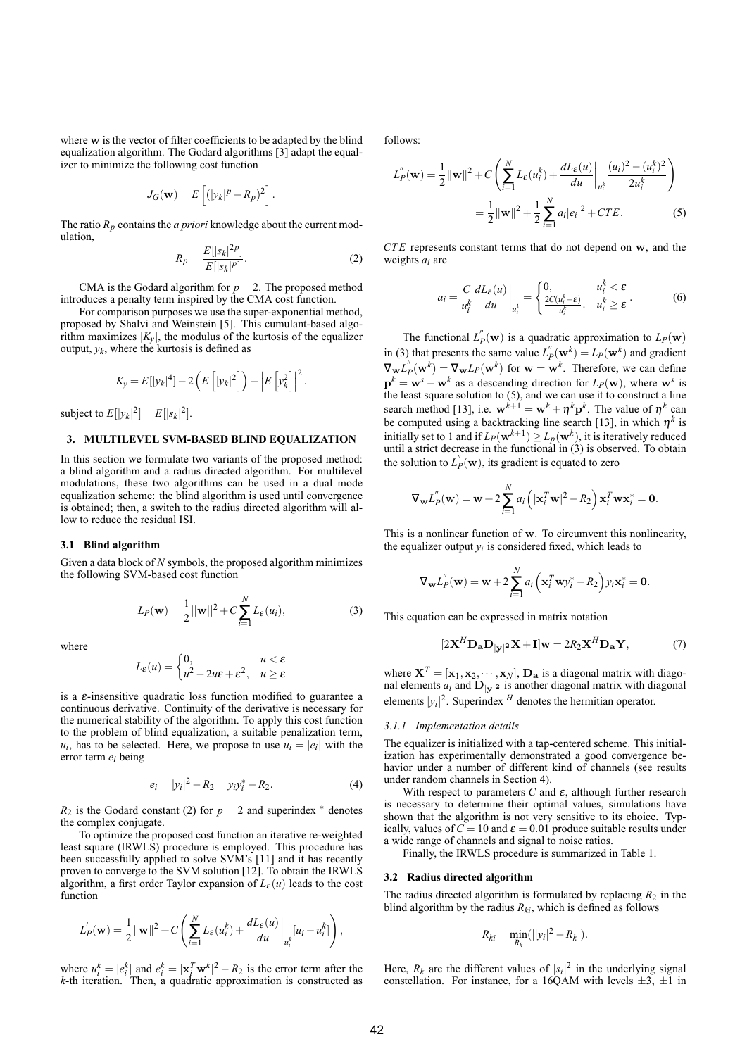where w is the vector of filter coefficients to be adapted by the blind equalization algorithm. The Godard algorithms [3] adapt the equalizer to minimize the following cost function

$$
J_G(\mathbf{w}) = E\left[ (|y_k|^p - R_p)^2 \right].
$$

The ratio  $R_p$  contains the *a priori* knowledge about the current modulation,

$$
R_p = \frac{E[|s_k|^2]^p}{E[|s_k|^p]}.
$$
\n(2)

CMA is the Godard algorithm for  $p = 2$ . The proposed method introduces a penalty term inspired by the CMA cost function.

For comparison purposes we use the super-exponential method, proposed by Shalvi and Weinstein [5]. This cumulant-based algorithm maximizes  $|K_v|$ , the modulus of the kurtosis of the equalizer output,  $y_k$ , where the kurtosis is defined as

$$
K_{y} = E[|y_k|^4] - 2\left(E\left[|y_k|^2\right]\right) - \left|E\left[y_k^2\right]\right|^2,
$$

subject to  $E[|y_k|^2] = E[|s_k|^2]$ .

# **3. MULTILEVEL SVM-BASED BLIND EQUALIZATION**

In this section we formulate two variants of the proposed method: a blind algorithm and a radius directed algorithm. For multilevel modulations, these two algorithms can be used in a dual mode equalization scheme: the blind algorithm is used until convergence is obtained; then, a switch to the radius directed algorithm will allow to reduce the residual ISI.

#### **3.1 Blind algorithm**

Given a data block of *N* symbols, the proposed algorithm minimizes the following SVM-based cost function

$$
L_P(\mathbf{w}) = \frac{1}{2} ||\mathbf{w}||^2 + C \sum_{i=1}^{N} L_{\varepsilon}(u_i),
$$
 (3)

where

$$
L_{\varepsilon}(u) = \begin{cases} 0, & u < \varepsilon \\ u^2 - 2u\varepsilon + \varepsilon^2, & u \ge \varepsilon \end{cases}
$$

is a  $\varepsilon$ -insensitive quadratic loss function modified to guarantee a continuous derivative. Continuity of the derivative is necessary for the numerical stability of the algorithm. To apply this cost function to the problem of blind equalization, a suitable penalization term,  $u_i$ , has to be selected. Here, we propose to use  $u_i = |e_i|$  with the error term *ei* being

$$
e_i = |y_i|^2 - R_2 = y_i y_i^* - R_2.
$$
 (4)

 $R_2$  is the Godard constant (2) for  $p = 2$  and superindex  $*$  denotes the complex conjugate.

To optimize the proposed cost function an iterative re-weighted least square (IRWLS) procedure is employed. This procedure has been successfully applied to solve SVM's [11] and it has recently proven to converge to the SVM solution [12]. To obtain the IRWLS algorithm, a first order Taylor expansion of  $L_{\varepsilon}(u)$  leads to the cost function

$$
L'_{P}(\mathbf{w}) = \frac{1}{2} ||\mathbf{w}||^{2} + C \left( \sum_{i=1}^{N} L_{\varepsilon}(u_{i}^{k}) + \frac{dL_{\varepsilon}(u)}{du} \bigg|_{u_{i}^{k}} [u_{i} - u_{i}^{k}] \right),
$$

where  $u_i^k = |e_i^k|$  and  $e_i^k = |\mathbf{x}_i^T \mathbf{w}^k|^2 - R_2$  is the error term after the *k*-th iteration. Then, a quadratic approximation is constructed as follows:

$$
L''_P(\mathbf{w}) = \frac{1}{2} ||\mathbf{w}||^2 + C \left( \sum_{i=1}^N L_{\varepsilon}(u_i^k) + \frac{dL_{\varepsilon}(u)}{du} \bigg|_{u_i^k} \frac{(u_i)^2 - (u_i^k)^2}{2u_i^k} \right)
$$
  
= 
$$
\frac{1}{2} ||\mathbf{w}||^2 + \frac{1}{2} \sum_{i=1}^N a_i |e_i|^2 + CTE.
$$
 (5)

*CT E* represents constant terms that do not depend on w, and the weights *ai* are

$$
a_i = \frac{C}{u_i^k} \frac{dL_{\varepsilon}(u)}{du} \bigg|_{u_i^k} = \begin{cases} 0, & u_i^k < \varepsilon \\ \frac{2C(u_i^k - \varepsilon)}{u_i^k}, & u_i^k \ge \varepsilon \end{cases} . \tag{6}
$$

The functional  $L_p^{"}(\mathbf{w})$  is a quadratic approximation to  $L_p(\mathbf{w})$ in (3) that presents the same value  $L_p^{"}(\mathbf{w}^k) = L_p(\mathbf{w}^k)$  and gradient  $\nabla_{\mathbf{w}} L''_p(\mathbf{w}^k) = \nabla_{\mathbf{w}} L_P(\mathbf{w}^k)$  for  $\mathbf{w} = \mathbf{w}^k$ . Therefore, we can define  $p^k = w^s - w^k$  as a descending direction for  $L_P(w)$ , where w<sup>*s*</sup> is the least square solution to (5), and we can use it to construct a line search method [13], i.e.  $\mathbf{w}^{k+1} = \mathbf{w}^k + \eta^k \mathbf{p}^k$ . The value of  $\eta^k$  can be computed using a backtracking line search [13], in which  $\eta^k$  is initially set to 1 and if  $L_P(\mathbf{w}^{k+1}) \ge L_P(\mathbf{w}^k)$ , it is iteratively reduced until a strict decrease in the functional in (3) is observed. To obtain the solution to  $L_p''(\mathbf{w})$ , its gradient is equated to zero

$$
\nabla_{\mathbf{w}} L_{P}^{''}(\mathbf{w}) = \mathbf{w} + 2 \sum_{i=1}^{N} a_i \left( |\mathbf{x}_i^{T} \mathbf{w}|^2 - R_2 \right) \mathbf{x}_i^{T} \mathbf{w} \mathbf{x}_i^{*} = \mathbf{0}.
$$

This is a nonlinear function of w. To circumvent this nonlinearity, the equalizer output  $y_i$  is considered fixed, which leads to

$$
\nabla_{\mathbf{w}} L_{P}^{''}(\mathbf{w}) = \mathbf{w} + 2 \sum_{i=1}^{N} a_i \left( \mathbf{x}_i^T \mathbf{w} y_i^* - R_2 \right) y_i \mathbf{x}_i^* = \mathbf{0}.
$$

This equation can be expressed in matrix notation

$$
[2\mathbf{X}^H \mathbf{D}_\mathbf{a} \mathbf{D}_{|\mathbf{y}|^2} \mathbf{X} + \mathbf{I}] \mathbf{w} = 2R_2 \mathbf{X}^H \mathbf{D}_\mathbf{a} \mathbf{Y},\tag{7}
$$

where  $X^T = [\mathbf{x}_1, \mathbf{x}_2, \cdots, \mathbf{x}_N]$ ,  $\mathbf{D}_\mathbf{a}$  is a diagonal matrix with diagonal elements  $a_i$  and  $\mathbf{D}_{|\mathbf{y}|^2}$  is another diagonal matrix with diagonal elements  $|y_i|^2$ . Superindex <sup>*H*</sup> denotes the hermitian operator.

## *3.1.1 Implementation details*

The equalizer is initialized with a tap-centered scheme. This initialization has experimentally demonstrated a good convergence behavior under a number of different kind of channels (see results under random channels in Section 4).

With respect to parameters  $C$  and  $\varepsilon$ , although further research is necessary to determine their optimal values, simulations have shown that the algorithm is not very sensitive to its choice. Typically, values of  $C = 10$  and  $\varepsilon = 0.01$  produce suitable results under a wide range of channels and signal to noise ratios.

Finally, the IRWLS procedure is summarized in Table 1.

#### **3.2 Radius directed algorithm**

The radius directed algorithm is formulated by replacing  $R_2$  in the blind algorithm by the radius  $R_{ki}$ , which is defined as follows

$$
R_{ki}=\min_{R_k}(||y_i|^2-R_k|).
$$

Here,  $R_k$  are the different values of  $|s_i|^2$  in the underlying signal constellation. For instance, for a 16QAM with levels  $\pm 3$ ,  $\pm 1$  in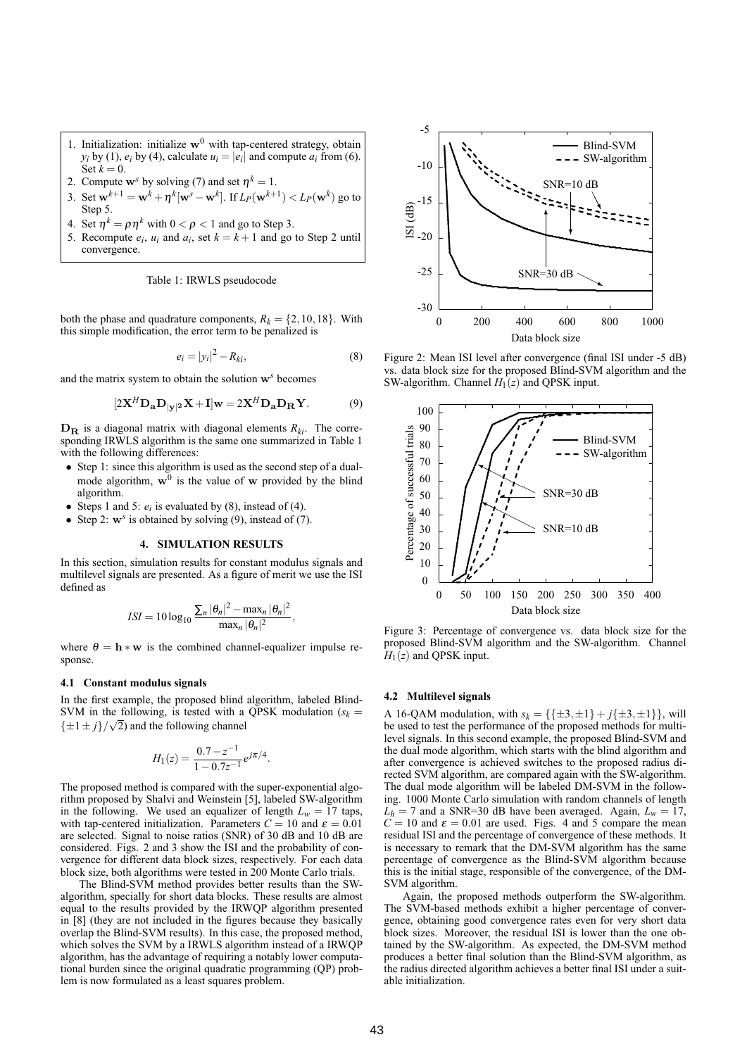- 1. Initialization: initialize  $w^0$  with tap-centered strategy, obtain  $y_i$  by (1),  $e_i$  by (4), calculate  $u_i = |e_i|$  and compute  $a_i$  from (6).  $\text{Set } k = 0.$
- 2. Compute  $\mathbf{w}^s$  by solving (7) and set  $\eta^k = 1$ .
- 3. Set  $\mathbf{w}^{k+1} = \mathbf{w}^k + \eta^k[\mathbf{w}^s \mathbf{w}^k]$ . If  $L_P(\mathbf{w}^{k+1}) < L_P(\mathbf{w}^k)$  go to Step 5.
- 4. Set  $\eta^k = \rho \eta^k$  with  $0 < \rho < 1$  and go to Step 3.
- 5. Recompute  $e_i$ ,  $u_i$  and  $a_i$ , set  $k = k + 1$  and go to Step 2 until convergence.

Table 1: IRWLS pseudocode

both the phase and quadrature components,  $R_k = \{2, 10, 18\}$ . With this simple modification, the error term to be penalized is

$$
e_i = |y_i|^2 - R_{ki},\tag{8}
$$

and the matrix system to obtain the solution w*<sup>s</sup>* becomes

$$
[2\mathbf{X}^H \mathbf{D}_\mathbf{a} \mathbf{D}_{|\mathbf{y}|^2} \mathbf{X} + \mathbf{I}] \mathbf{w} = 2\mathbf{X}^H \mathbf{D}_\mathbf{a} \mathbf{D}_\mathbf{R} \mathbf{Y}.
$$
 (9)

 **is a diagonal matrix with diagonal elements**  $R_{ki}$ **. The corre**sponding IRWLS algorithm is the same one summarized in Table 1 with the following differences:

- Step 1: since this algorithm is used as the second step of a dualmode algorithm,  $w^0$  is the value of w provided by the blind algorithm.
- Steps 1 and 5:  $e_i$  is evaluated by (8), instead of (4).
- Step 2:  $w^s$  is obtained by solving (9), instead of (7).

#### **4. SIMULATION RESULTS**

In this section, simulation results for constant modulus signals and multilevel signals are presented. As a figure of merit we use the ISI defined as

$$
ISI = 10\log_{10}\frac{\sum_{n}|\theta_n|^2 - \max_{n}|\theta_n|^2}{\max_{n}|\theta_n|^2},
$$

where  $\theta = h * w$  is the combined channel-equalizer impulse response.

#### **4.1 Constant modulus signals**

In the first example, the proposed blind algorithm, labeled Blind-SVM in the following, is tested with a QPSK modulation  $(s_k = s_k)$  $\{\pm 1 \pm j\}/\sqrt{2}$  and the following channel

$$
H_1(z) = \frac{0.7 - z^{-1}}{1 - 0.7z^{-1}} e^{j\pi/4}.
$$

The proposed method is compared with the super-exponential algorithm proposed by Shalvi and Weinstein [5], labeled SW-algorithm in the following. We used an equalizer of length  $L_w = 17$  taps, with tap-centered initialization. Parameters  $C = 10$  and  $\varepsilon = 0.01$ are selected. Signal to noise ratios (SNR) of 30 dB and 10 dB are considered. Figs. 2 and 3 show the ISI and the probability of convergence for different data block sizes, respectively. For each data block size, both algorithms were tested in 200 Monte Carlo trials.

The Blind-SVM method provides better results than the SWalgorithm, specially for short data blocks. These results are almost equal to the results provided by the IRWQP algorithm presented in [8] (they are not included in the figures because they basically overlap the Blind-SVM results). In this case, the proposed method, which solves the SVM by a IRWLS algorithm instead of a IRWQP algorithm, has the advantage of requiring a notably lower computational burden since the original quadratic programming (QP) problem is now formulated as a least squares problem.



Figure 2: Mean ISI level after convergence (final ISI under -5 dB) vs. data block size for the proposed Blind-SVM algorithm and the SW-algorithm. Channel *H*1(*z*) and QPSK input.



Figure 3: Percentage of convergence vs. data block size for the proposed Blind-SVM algorithm and the SW-algorithm. Channel  $H_1(z)$  and QPSK input.

#### **4.2 Multilevel signals**

A 16-QAM modulation, with  $s_k = {\{\pm 3, \pm 1\} + j{\{\pm 3, \pm 1\}}}$ , will be used to test the performance of the proposed methods for multilevel signals. In this second example, the proposed Blind-SVM and the dual mode algorithm, which starts with the blind algorithm and after convergence is achieved switches to the proposed radius directed SVM algorithm, are compared again with the SW-algorithm. The dual mode algorithm will be labeled DM-SVM in the following. 1000 Monte Carlo simulation with random channels of length  $L_h = 7$  and a SNR=30 dB have been averaged. Again,  $L_w = 17$ ,  $C = 10$  and  $\varepsilon = 0.01$  are used. Figs. 4 and 5 compare the mean residual ISI and the percentage of convergence of these methods. It is necessary to remark that the DM-SVM algorithm has the same percentage of convergence as the Blind-SVM algorithm because this is the initial stage, responsible of the convergence, of the DM-SVM algorithm.

Again, the proposed methods outperform the SW-algorithm. The SVM-based methods exhibit a higher percentage of convergence, obtaining good convergence rates even for very short data block sizes. Moreover, the residual ISI is lower than the one obtained by the SW-algorithm. As expected, the DM-SVM method produces a better final solution than the Blind-SVM algorithm, as the radius directed algorithm achieves a better final ISI under a suitable initialization.